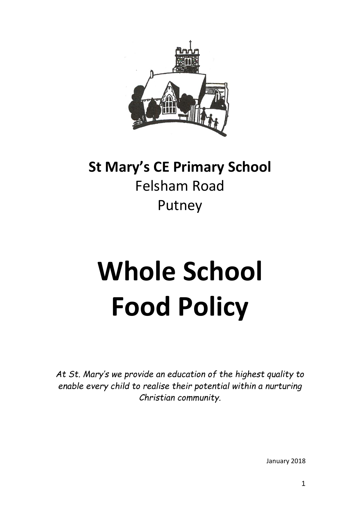

# **St Mary's CE Primary School** Felsham Road Putney

# **Whole School Food Policy**

*At St. Mary's we provide an education of the highest quality to enable every child to realise their potential within a nurturing Christian community.*

January 2018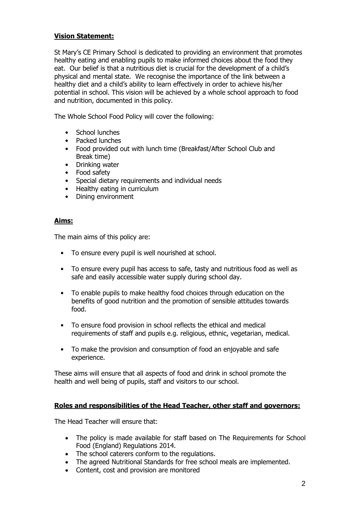# **Vision Statement:**

St Mary's CE Primary School is dedicated to providing an environment that promotes healthy eating and enabling pupils to make informed choices about the food they eat. Our belief is that a nutritious diet is crucial for the development of a child's physical and mental state. We recognise the importance of the link between a healthy diet and a child's ability to learn effectively in order to achieve his/her potential in school. This vision will be achieved by a whole school approach to food and nutrition, documented in this policy.

The Whole School Food Policy will cover the following:

- School lunches
- Packed lunches
- Food provided out with lunch time (Breakfast/After School Club and Break time)
- Drinking water
- Food safety
- Special dietary requirements and individual needs
- Healthy eating in curriculum
- Dining environment

#### **Aims:**

The main aims of this policy are:

- To ensure every pupil is well nourished at school.
- To ensure every pupil has access to safe, tasty and nutritious food as well as safe and easily accessible water supply during school day.
- To enable pupils to make healthy food choices through education on the benefits of good nutrition and the promotion of sensible attitudes towards food.
- To ensure food provision in school reflects the ethical and medical requirements of staff and pupils e.g. religious, ethnic, vegetarian, medical.
- To make the provision and consumption of food an enjoyable and safe experience.

These aims will ensure that all aspects of food and drink in school promote the health and well being of pupils, staff and visitors to our school.

#### **Roles and responsibilities of the Head Teacher, other staff and governors:**

The Head Teacher will ensure that:

- The policy is made available for staff based on The Requirements for School Food (England) Regulations 2014.
- The school caterers conform to the regulations.
- The agreed Nutritional Standards for free school meals are implemented.
- Content, cost and provision are monitored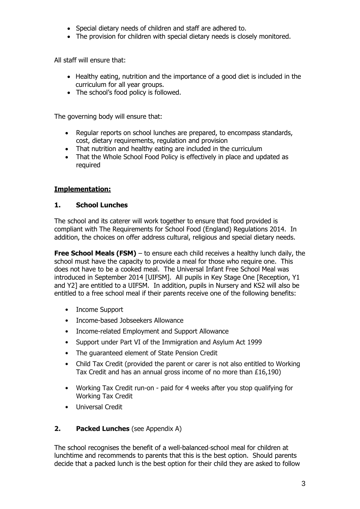- Special dietary needs of children and staff are adhered to.
- The provision for children with special dietary needs is closely monitored.

All staff will ensure that:

- Healthy eating, nutrition and the importance of a good diet is included in the curriculum for all year groups.
- The school's food policy is followed.

The governing body will ensure that:

- Regular reports on school lunches are prepared, to encompass standards, cost, dietary requirements, regulation and provision
- That nutrition and healthy eating are included in the curriculum
- That the Whole School Food Policy is effectively in place and updated as required

# **Implementation:**

## **1. School Lunches**

The school and its caterer will work together to ensure that food provided is compliant with The Requirements for School Food (England) Regulations 2014. In addition, the choices on offer address cultural, religious and special dietary needs.

**Free School Meals (FSM)** – to ensure each child receives a healthy lunch daily, the school must have the capacity to provide a meal for those who require one. This does not have to be a cooked meal. The Universal Infant Free School Meal was introduced in September 2014 [UIFSM]. All pupils in Key Stage One [Reception, Y1 and Y2] are entitled to a UIFSM. In addition, pupils in Nursery and KS2 will also be entitled to a free school meal if their parents receive one of the following benefits:

- Income Support
- Income-based Jobseekers Allowance
- Income-related Employment and Support Allowance
- Support under Part VI of the Immigration and Asylum Act 1999
- The guaranteed element of State Pension Credit
- Child Tax Credit (provided the parent or carer is not also entitled to Working Tax Credit and has an annual gross income of no more than £16,190)
- Working Tax Credit run-on paid for 4 weeks after you stop qualifying for Working Tax Credit
- Universal Credit

## **2. Packed Lunches** (see Appendix A)

The school recognises the benefit of a well-balanced school meal for children at lunchtime and recommends to parents that this is the best option. Should parents decide that a packed lunch is the best option for their child they are asked to follow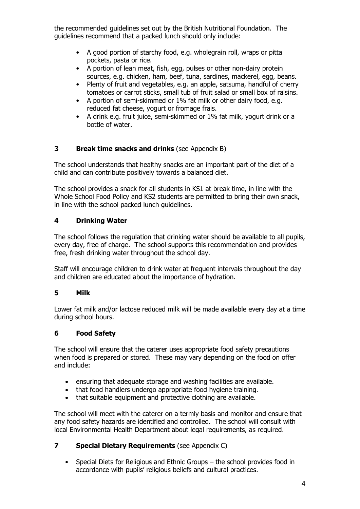the recommended guidelines set out by the British Nutritional Foundation. The guidelines recommend that a packed lunch should only include:

- A good portion of starchy food, e.g. wholegrain roll, wraps or pitta pockets, pasta or rice.
- A portion of lean meat, fish, egg, pulses or other non-dairy protein sources, e.g. chicken, ham, beef, tuna, sardines, mackerel, egg, beans.
- Plenty of fruit and vegetables, e.g. an apple, satsuma, handful of cherry tomatoes or carrot sticks, small tub of fruit salad or small box of raisins.
- A portion of semi-skimmed or 1% fat milk or other dairy food, e.g. reduced fat cheese, yogurt or fromage frais.
- A drink e.g. fruit juice, semi-skimmed or 1% fat milk, yogurt drink or a bottle of water.

# **3 Break time snacks and drinks** (see Appendix B)

The school understands that healthy snacks are an important part of the diet of a child and can contribute positively towards a balanced diet.

The school provides a snack for all students in KS1 at break time, in line with the Whole School Food Policy and KS2 students are permitted to bring their own snack, in line with the school packed lunch guidelines.

## **4 Drinking Water**

The school follows the regulation that drinking water should be available to all pupils, every day, free of charge. The school supports this recommendation and provides free, fresh drinking water throughout the school day.

Staff will encourage children to drink water at frequent intervals throughout the day and children are educated about the importance of hydration.

## **5 Milk**

Lower fat milk and/or lactose reduced milk will be made available every day at a time during school hours.

## **6 Food Safety**

The school will ensure that the caterer uses appropriate food safety precautions when food is prepared or stored. These may vary depending on the food on offer and include:

- ensuring that adequate storage and washing facilities are available.
- that food handlers undergo appropriate food hygiene training.
- that suitable equipment and protective clothing are available.

The school will meet with the caterer on a termly basis and monitor and ensure that any food safety hazards are identified and controlled. The school will consult with local Environmental Health Department about legal requirements, as required.

## **7 Special Dietary Requirements** (see Appendix C)

• Special Diets for Religious and Ethnic Groups – the school provides food in accordance with pupils' religious beliefs and cultural practices.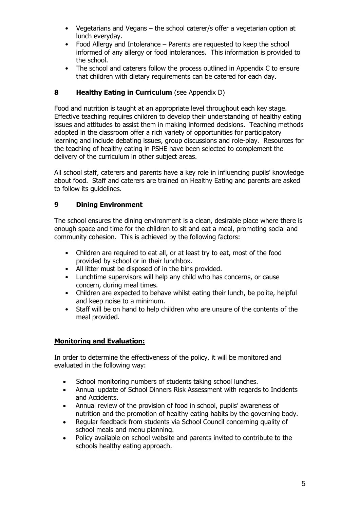- Vegetarians and Vegans the school caterer/s offer a vegetarian option at lunch everyday.
- Food Allergy and Intolerance Parents are requested to keep the school informed of any allergy or food intolerances. This information is provided to the school.
- The school and caterers follow the process outlined in Appendix C to ensure that children with dietary requirements can be catered for each day.

# **8 Healthy Eating in Curriculum** (see Appendix D)

Food and nutrition is taught at an appropriate level throughout each key stage. Effective teaching requires children to develop their understanding of healthy eating issues and attitudes to assist them in making informed decisions. Teaching methods adopted in the classroom offer a rich variety of opportunities for participatory learning and include debating issues, group discussions and role-play. Resources for the teaching of healthy eating in PSHE have been selected to complement the delivery of the curriculum in other subject areas.

All school staff, caterers and parents have a key role in influencing pupils' knowledge about food. Staff and caterers are trained on Healthy Eating and parents are asked to follow its guidelines.

# **9 Dining Environment**

The school ensures the dining environment is a clean, desirable place where there is enough space and time for the children to sit and eat a meal, promoting social and community cohesion. This is achieved by the following factors:

- Children are required to eat all, or at least try to eat, most of the food provided by school or in their lunchbox.
- All litter must be disposed of in the bins provided.
- Lunchtime supervisors will help any child who has concerns, or cause concern, during meal times.
- Children are expected to behave whilst eating their lunch, be polite, helpful and keep noise to a minimum.
- Staff will be on hand to help children who are unsure of the contents of the meal provided.

# **Monitoring and Evaluation:**

In order to determine the effectiveness of the policy, it will be monitored and evaluated in the following way:

- School monitoring numbers of students taking school lunches.
- Annual update of School Dinners Risk Assessment with regards to Incidents and Accidents.
- Annual review of the provision of food in school, pupils' awareness of nutrition and the promotion of healthy eating habits by the governing body.
- Regular feedback from students via School Council concerning quality of school meals and menu planning.
- Policy available on school website and parents invited to contribute to the schools healthy eating approach.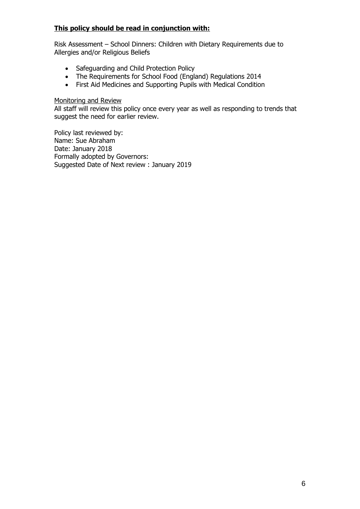# **This policy should be read in conjunction with:**

Risk Assessment – School Dinners: Children with Dietary Requirements due to Allergies and/or Religious Beliefs

- Safeguarding and Child Protection Policy
- The Requirements for School Food (England) Regulations 2014
- First Aid Medicines and Supporting Pupils with Medical Condition

#### Monitoring and Review

All staff will review this policy once every year as well as responding to trends that suggest the need for earlier review.

Policy last reviewed by: Name: Sue Abraham Date: January 2018 Formally adopted by Governors: Suggested Date of Next review : January 2019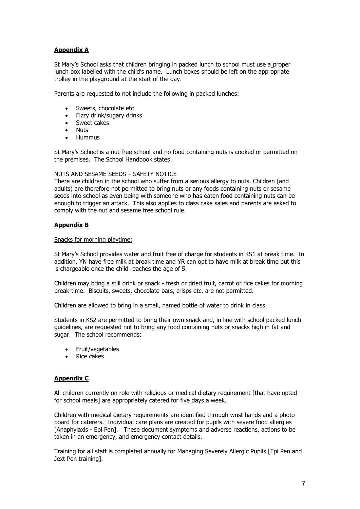#### **Appendix A**

St Mary's School asks that children bringing in packed lunch to school must use a proper lunch box labelled with the child's name. Lunch boxes should be left on the appropriate trolley in the playground at the start of the day.

Parents are requested to not include the following in packed lunches:

- Sweets, chocolate etc
- Fizzy drink/sugary drinks
- Sweet cakes
- Nuts
- Hummus

St Mary's School is a nut free school and no food containing nuts is cooked or permitted on the premises. The School Handbook states:

#### NUTS AND SESAME SEEDS – SAFETY NOTICE

There are children in the school who suffer from a serious allergy to nuts. Children (and adults) are therefore not permitted to bring nuts or any foods containing nuts or sesame seeds into school as even being with someone who has eaten food containing nuts can be enough to trigger an attack. This also applies to class cake sales and parents are asked to comply with the nut and sesame free school rule.

#### **Appendix B**

#### Snacks for morning playtime:

St Mary's School provides water and fruit free of charge for students in KS1 at break time. In addition, YN have free milk at break time and YR can opt to have milk at break time but this is chargeable once the child reaches the age of 5.

Children may bring a still drink or snack - fresh or dried fruit, carrot or rice cakes for morning break-time. Biscuits, sweets, chocolate bars, crisps etc. are not permitted.

Children are allowed to bring in a small, named bottle of water to drink in class.

Students in KS2 are permitted to bring their own snack and, in line with school packed lunch guidelines, are requested not to bring any food containing nuts or snacks high in fat and sugar. The school recommends:

- Fruit/vegetables
- Rice cakes

#### **Appendix C**

All children currently on role with religious or medical dietary requirement [that have opted for school meals] are appropriately catered for five days a week.

Children with medical dietary requirements are identified through wrist bands and a photo board for caterers. Individual care plans are created for pupils with severe food allergies [Anaphylaxis - Epi Pen]. These document symptoms and adverse reactions, actions to be taken in an emergency, and emergency contact details.

Training for all staff is completed annually for Managing Severely Allergic Pupils [Epi Pen and Jext Pen training].